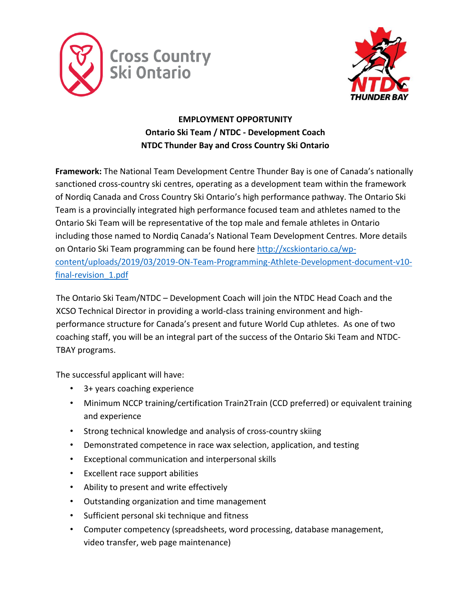



# **EMPLOYMENT OPPORTUNITY Ontario Ski Team / NTDC - Development Coach NTDC Thunder Bay and Cross Country Ski Ontario**

**Framework:** The National Team Development Centre Thunder Bay is one of Canada's nationally sanctioned cross-country ski centres, operating as a development team within the framework of Nordiq Canada and Cross Country Ski Ontario's high performance pathway. The Ontario Ski Team is a provincially integrated high performance focused team and athletes named to the Ontario Ski Team will be representative of the top male and female athletes in Ontario including those named to Nordiq Canada's National Team Development Centres. More details on Ontario Ski Team programming can be found here [http://xcskiontario.ca/wp](http://xcskiontario.ca/wp-content/uploads/2019/03/2019-ON-Team-Programming-Athlete-Development-document-v10-final-revision_1.pdf)[content/uploads/2019/03/2019-ON-Team-Programming-Athlete-Development-document-v10](http://xcskiontario.ca/wp-content/uploads/2019/03/2019-ON-Team-Programming-Athlete-Development-document-v10-final-revision_1.pdf) [final-revision\\_1.pdf](http://xcskiontario.ca/wp-content/uploads/2019/03/2019-ON-Team-Programming-Athlete-Development-document-v10-final-revision_1.pdf)

The Ontario Ski Team/NTDC – Development Coach will join the NTDC Head Coach and the XCSO Technical Director in providing a world-class training environment and highperformance structure for Canada's present and future World Cup athletes. As one of two coaching staff, you will be an integral part of the success of the Ontario Ski Team and NTDC-TBAY programs.

The successful applicant will have:

- 3+ years coaching experience
- Minimum NCCP training/certification Train2Train (CCD preferred) or equivalent training and experience
- Strong technical knowledge and analysis of cross-country skiing
- Demonstrated competence in race wax selection, application, and testing
- Exceptional communication and interpersonal skills
- Excellent race support abilities
- Ability to present and write effectively
- Outstanding organization and time management
- Sufficient personal ski technique and fitness
- Computer competency (spreadsheets, word processing, database management, video transfer, web page maintenance)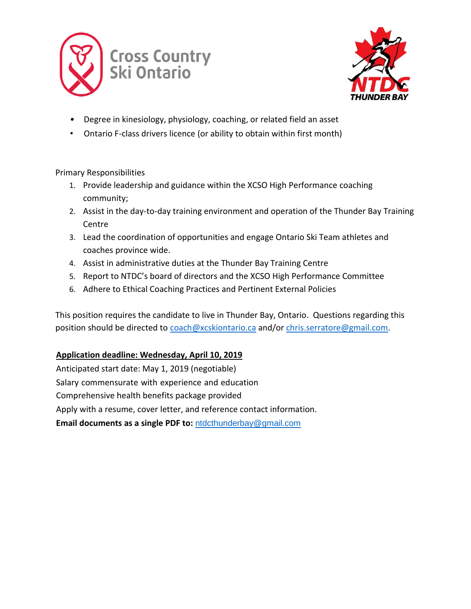



- Degree in kinesiology, physiology, coaching, or related field an asset
- Ontario F-class drivers licence (or ability to obtain within first month)

### Primary Responsibilities

- 1. Provide leadership and guidance within the XCSO High Performance coaching community;
- 2. Assist in the day-to-day training environment and operation of the Thunder Bay Training Centre
- 3. Lead the coordination of opportunities and engage Ontario Ski Team athletes and coaches province wide.
- 4. Assist in administrative duties at the Thunder Bay Training Centre
- 5. Report to NTDC's board of directors and the XCSO High Performance Committee
- 6. Adhere to Ethical Coaching Practices and Pertinent External Policies

This position requires the candidate to live in Thunder Bay, Ontario. Questions regarding this position should be directed to [coach@xcskiontario.ca](mailto:coach@xcskiontario.ca) and/or [chris.serratore@gmail.com.](mailto:chris.serratore@gmail.com)

# **Application deadline: Wednesday, April 10, 2019**

Anticipated start date: May 1, 2019 (negotiable) Salary commensurate with experience and education Comprehensive health benefits package provided Apply with a resume, cover letter, and reference contact information. **Email documents as a single PDF to:** [ntdcthunderbay@gmail.com](mailto:ntdcthunderbay@gmail.com)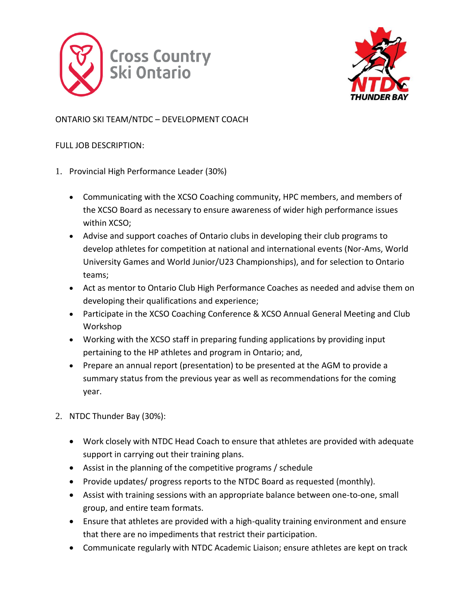



# ONTARIO SKI TEAM/NTDC – DEVELOPMENT COACH

### FULL JOB DESCRIPTION:

- 1. Provincial High Performance Leader (30%)
	- Communicating with the XCSO Coaching community, HPC members, and members of the XCSO Board as necessary to ensure awareness of wider high performance issues within XCSO;
	- Advise and support coaches of Ontario clubs in developing their club programs to develop athletes for competition at national and international events (Nor-Ams, World University Games and World Junior/U23 Championships), and for selection to Ontario teams;
	- Act as mentor to Ontario Club High Performance Coaches as needed and advise them on developing their qualifications and experience;
	- Participate in the XCSO Coaching Conference & XCSO Annual General Meeting and Club Workshop
	- Working with the XCSO staff in preparing funding applications by providing input pertaining to the HP athletes and program in Ontario; and,
	- Prepare an annual report (presentation) to be presented at the AGM to provide a summary status from the previous year as well as recommendations for the coming year.
- 2. NTDC Thunder Bay (30%):
	- Work closely with NTDC Head Coach to ensure that athletes are provided with adequate support in carrying out their training plans.
	- Assist in the planning of the competitive programs / schedule
	- Provide updates/ progress reports to the NTDC Board as requested (monthly).
	- Assist with training sessions with an appropriate balance between one-to-one, small group, and entire team formats.
	- Ensure that athletes are provided with a high-quality training environment and ensure that there are no impediments that restrict their participation.
	- Communicate regularly with NTDC Academic Liaison; ensure athletes are kept on track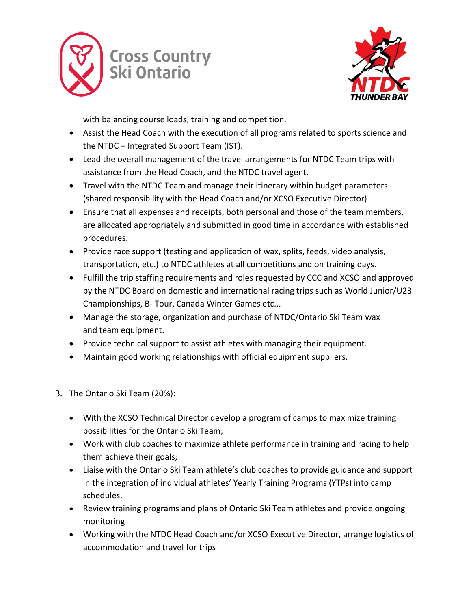



with balancing course loads, training and competition.

- Assist the Head Coach with the execution of all programs related to sports science and the NTDC – Integrated Support Team (IST).
- Lead the overall management of the travel arrangements for NTDC Team trips with assistance from the Head Coach, and the NTDC travel agent.
- Travel with the NTDC Team and manage their itinerary within budget parameters (shared responsibility with the Head Coach and/or XCSO Executive Director)
- Ensure that all expenses and receipts, both personal and those of the team members, are allocated appropriately and submitted in good time in accordance with established procedures.
- Provide race support (testing and application of wax, splits, feeds, video analysis, transportation, etc.) to NTDC athletes at all competitions and on training days.
- Fulfill the trip staffing requirements and roles requested by CCC and XCSO and approved by the NTDC Board on domestic and international racing trips such as World Junior/U23 Championships, B- Tour, Canada Winter Games etc...
- Manage the storage, organization and purchase of NTDC/Ontario Ski Team wax and team equipment.
- Provide technical support to assist athletes with managing their equipment.
- Maintain good working relationships with official equipment suppliers.
- 3. The Ontario Ski Team (20%):
	- With the XCSO Technical Director develop a program of camps to maximize training possibilities for the Ontario Ski Team;
	- Work with club coaches to maximize athlete performance in training and racing to help them achieve their goals;
	- Liaise with the Ontario Ski Team athlete's club coaches to provide guidance and support in the integration of individual athletes' Yearly Training Programs (YTPs) into camp schedules.
	- Review training programs and plans of Ontario Ski Team athletes and provide ongoing monitoring
	- Working with the NTDC Head Coach and/or XCSO Executive Director, arrange logistics of accommodation and travel for trips